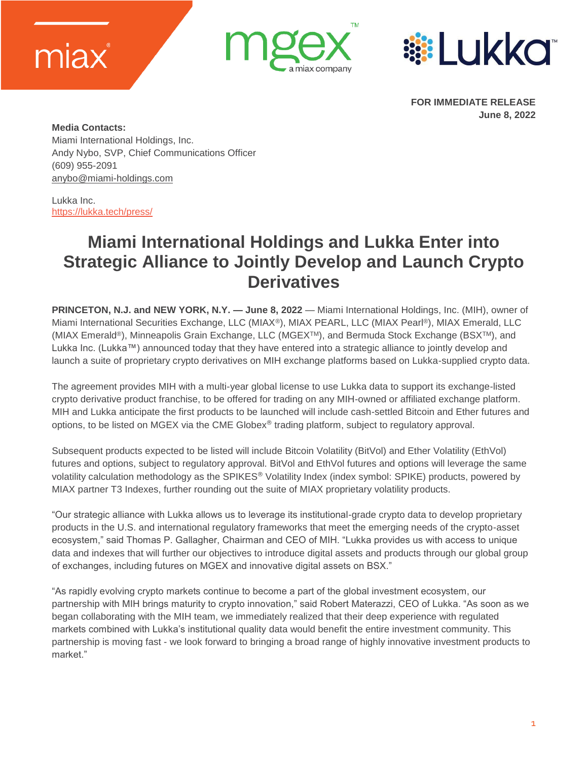





**FOR IMMEDIATE RELEASE June 8, 2022** 

**Media Contacts:** Miami International Holdings, Inc. Andy Nybo, SVP, Chief Communications Officer (609) 955-2091 [anybo@miami-holdings.com](mailto:anybo@miami-holdings.com)

Lukka Inc. [https://lukka.tech/press/](https://urldefense.proofpoint.com/v2/url?u=https-3A__lukka.tech_press_&d=DwMFaQ&c=VWczfn7OA1Y-PtMpTUEPf6f77NfxbFWAUFY0PF-1xe4&r=W-57ef3GzwRFbq5byJRJ2auR3Ml8HoWZ1KomM-3UKXE&m=4TcwlF90TT07cDUZR5QR8y1gnFlCutBzxX-T9dSiOJeNi1nDo4qSDH1_qcnzYsSq&s=vYUfZSJ15SCULncGlnY7u4fjvhgFTRUmGXpv7EqwRkI&e=)

## **Miami International Holdings and Lukka Enter into Strategic Alliance to Jointly Develop and Launch Crypto Derivatives**

**PRINCETON, N.J. and NEW YORK, N.Y. — June 8, 2022** — Miami International Holdings, Inc. (MIH), owner of Miami International Securities Exchange, LLC (MIAX®), MIAX PEARL, LLC (MIAX Pearl®), MIAX Emerald, LLC (MIAX Emerald®), Minneapolis Grain Exchange, LLC (MGEXTM), and Bermuda Stock Exchange (BSXTM), and Lukka Inc. (Lukka™) announced today that they have entered into a strategic alliance to jointly develop and launch a suite of proprietary crypto derivatives on MIH exchange platforms based on Lukka-supplied crypto data.

The agreement provides MIH with a multi-year global license to use Lukka data to support its exchange-listed crypto derivative product franchise, to be offered for trading on any MIH-owned or affiliated exchange platform. MIH and Lukka anticipate the first products to be launched will include cash-settled Bitcoin and Ether futures and options, to be listed on MGEX via the CME Globex<sup>®</sup> trading platform, subject to regulatory approval.

Subsequent products expected to be listed will include Bitcoin Volatility (BitVol) and Ether Volatility (EthVol) futures and options, subject to regulatory approval. BitVol and EthVol futures and options will leverage the same volatility calculation methodology as the SPIKES<sup>®</sup> Volatility Index (index symbol: SPIKE) products, powered by MIAX partner T3 Indexes, further rounding out the suite of MIAX proprietary volatility products.

"Our strategic alliance with Lukka allows us to leverage its institutional-grade crypto data to develop proprietary products in the U.S. and international regulatory frameworks that meet the emerging needs of the crypto-asset ecosystem," said Thomas P. Gallagher, Chairman and CEO of MIH. "Lukka provides us with access to unique data and indexes that will further our objectives to introduce digital assets and products through our global group of exchanges, including futures on MGEX and innovative digital assets on BSX."

"As rapidly evolving crypto markets continue to become a part of the global investment ecosystem, our partnership with MIH brings maturity to crypto innovation," said Robert Materazzi, CEO of Lukka. "As soon as we began collaborating with the MIH team, we immediately realized that their deep experience with regulated markets combined with Lukka's institutional quality data would benefit the entire investment community. This partnership is moving fast - we look forward to bringing a broad range of highly innovative investment products to market."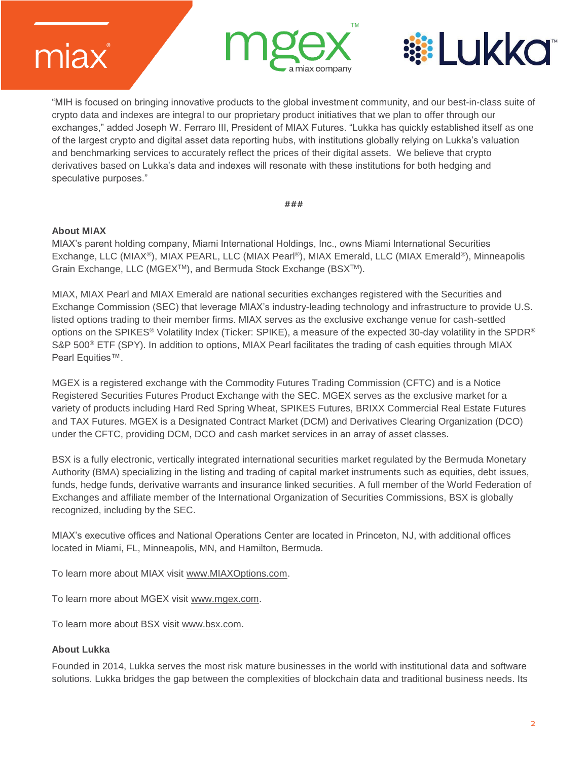





"MIH is focused on bringing innovative products to the global investment community, and our best-in-class suite of crypto data and indexes are integral to our proprietary product initiatives that we plan to offer through our exchanges," added Joseph W. Ferraro III, President of MIAX Futures. "Lukka has quickly established itself as one of the largest crypto and digital asset data reporting hubs, with institutions globally relying on Lukka's valuation and benchmarking services to accurately reflect the prices of their digital assets. We believe that crypto derivatives based on Lukka's data and indexes will resonate with these institutions for both hedging and speculative purposes."

**###**

## **About MIAX**

MIAX's parent holding company, Miami International Holdings, Inc., owns Miami International Securities Exchange, LLC (MIAX®), MIAX PEARL, LLC (MIAX Pearl®), MIAX Emerald, LLC (MIAX Emerald®), Minneapolis Grain Exchange, LLC (MGEX<sup>™</sup>), and Bermuda Stock Exchange (BSX<sup>™)</sup>.

MIAX, MIAX Pearl and MIAX Emerald are national securities exchanges registered with the Securities and Exchange Commission (SEC) that leverage MIAX's industry-leading technology and infrastructure to provide U.S. listed options trading to their member firms. MIAX serves as the exclusive exchange venue for cash-settled options on the SPIKES® Volatility Index (Ticker: SPIKE), a measure of the expected 30-day volatility in the SPDR® S&P 500® ETF (SPY). In addition to options, MIAX Pearl facilitates the trading of cash equities through MIAX Pearl Equities™.

MGEX is a registered exchange with the Commodity Futures Trading Commission (CFTC) and is a Notice Registered Securities Futures Product Exchange with the SEC. MGEX serves as the exclusive market for a variety of products including Hard Red Spring Wheat, SPIKES Futures, BRIXX Commercial Real Estate Futures and TAX Futures. MGEX is a Designated Contract Market (DCM) and Derivatives Clearing Organization (DCO) under the CFTC, providing DCM, DCO and cash market services in an array of asset classes.

BSX is a fully electronic, vertically integrated international securities market regulated by the Bermuda Monetary Authority (BMA) specializing in the listing and trading of capital market instruments such as equities, debt issues, funds, hedge funds, derivative warrants and insurance linked securities. A full member of the World Federation of Exchanges and affiliate member of the International Organization of Securities Commissions, BSX is globally recognized, including by the SEC.

MIAX's executive offices and National Operations Center are located in Princeton, NJ, with additional offices located in Miami, FL, Minneapolis, MN, and Hamilton, Bermuda.

To learn more about MIAX visit [www.MIAXOptions.com.](http://www.miaxoptions.com/)

To learn more about MGEX visit [www.mgex.com.](http://www.mgex.com/)

To learn more about BSX visit [www.bsx.com.](http://www.bsx.com/)

## **About Lukka**

Founded in 2014, Lukka serves the most risk mature businesses in the world with institutional data and software solutions. Lukka bridges the gap between the complexities of blockchain data and traditional business needs. Its